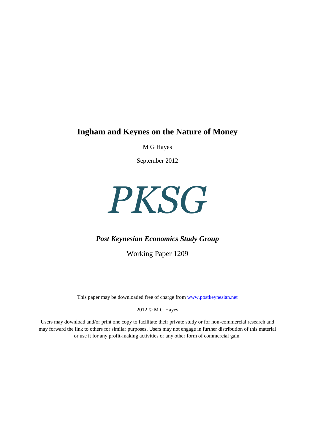# **Ingham and Keynes on the Nature of Money**

M G Hayes

September 2012

# *PKSG*

## *Post Keynesian Economics Study Group*

Working Paper 1209

This paper may be downloaded free of charge from [www.postkeynesian.net](http://www.postkeynesian.net/)

2012 © M G Hayes

Users may download and/or print one copy to facilitate their private study or for non-commercial research and may forward the link to others for similar purposes. Users may not engage in further distribution of this material or use it for any profit-making activities or any other form of commercial gain.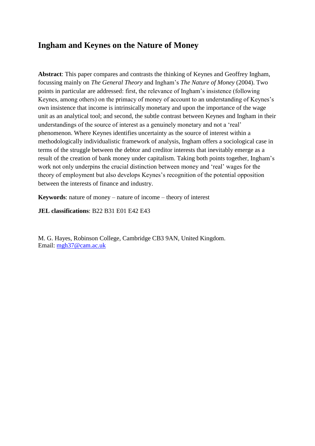# **Ingham and Keynes on the Nature of Money**

**Abstract**: This paper compares and contrasts the thinking of Keynes and Geoffrey Ingham, focussing mainly on *The General Theory* and Ingham's *The Nature of Money* (2004). Two points in particular are addressed: first, the relevance of Ingham's insistence (following Keynes, among others) on the primacy of money of account to an understanding of Keynes's own insistence that income is intrinsically monetary and upon the importance of the wage unit as an analytical tool; and second, the subtle contrast between Keynes and Ingham in their understandings of the source of interest as a genuinely monetary and not a 'real' phenomenon. Where Keynes identifies uncertainty as the source of interest within a methodologically individualistic framework of analysis, Ingham offers a sociological case in terms of the struggle between the debtor and creditor interests that inevitably emerge as a result of the creation of bank money under capitalism. Taking both points together, Ingham's work not only underpins the crucial distinction between money and 'real' wages for the theory of employment but also develops Keynes's recognition of the potential opposition between the interests of finance and industry.

**Keywords**: nature of money – nature of income – theory of interest

**JEL classifications**: B22 B31 E01 E42 E43

M. G. Hayes, Robinson College, Cambridge CB3 9AN, United Kingdom. Email: [mgh37@cam.ac.uk](mailto:mgh37@cam.ac.uk)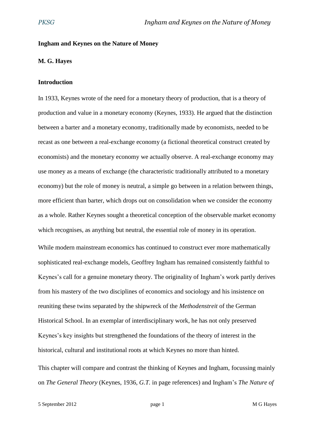## **Ingham and Keynes on the Nature of Money**

#### **M. G. Hayes**

#### **Introduction**

In 1933, Keynes wrote of the need for a monetary theory of production, that is a theory of production and value in a monetary economy (Keynes, 1933). He argued that the distinction between a barter and a monetary economy, traditionally made by economists, needed to be recast as one between a real-exchange economy (a fictional theoretical construct created by economists) and the monetary economy we actually observe. A real-exchange economy may use money as a means of exchange (the characteristic traditionally attributed to a monetary economy) but the role of money is neutral, a simple go between in a relation between things, more efficient than barter, which drops out on consolidation when we consider the economy as a whole. Rather Keynes sought a theoretical conception of the observable market economy which recognises, as anything but neutral, the essential role of money in its operation.

While modern mainstream economics has continued to construct ever more mathematically sophisticated real-exchange models, Geoffrey Ingham has remained consistently faithful to Keynes's call for a genuine monetary theory. The originality of Ingham's work partly derives from his mastery of the two disciplines of economics and sociology and his insistence on reuniting these twins separated by the shipwreck of the *Methodenstreit* of the German Historical School. In an exemplar of interdisciplinary work, he has not only preserved Keynes's key insights but strengthened the foundations of the theory of interest in the historical, cultural and institutional roots at which Keynes no more than hinted.

This chapter will compare and contrast the thinking of Keynes and Ingham, focussing mainly on *The General Theory* (Keynes, 1936, *G.T.* in page references) and Ingham's *The Nature of*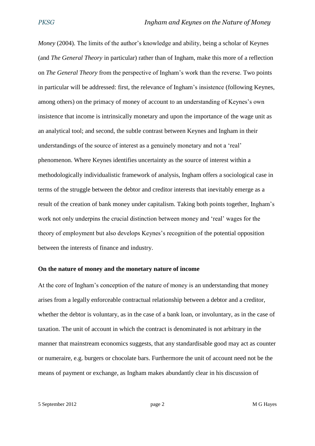*Money* (2004). The limits of the author's knowledge and ability, being a scholar of Keynes (and *The General Theory* in particular) rather than of Ingham, make this more of a reflection on *The General Theory* from the perspective of Ingham's work than the reverse. Two points in particular will be addressed: first, the relevance of Ingham's insistence (following Keynes, among others) on the primacy of money of account to an understanding of Keynes's own insistence that income is intrinsically monetary and upon the importance of the wage unit as an analytical tool; and second, the subtle contrast between Keynes and Ingham in their understandings of the source of interest as a genuinely monetary and not a 'real' phenomenon. Where Keynes identifies uncertainty as the source of interest within a methodologically individualistic framework of analysis, Ingham offers a sociological case in terms of the struggle between the debtor and creditor interests that inevitably emerge as a result of the creation of bank money under capitalism. Taking both points together, Ingham's work not only underpins the crucial distinction between money and 'real' wages for the theory of employment but also develops Keynes's recognition of the potential opposition between the interests of finance and industry.

#### **On the nature of money and the monetary nature of income**

At the core of Ingham's conception of the nature of money is an understanding that money arises from a legally enforceable contractual relationship between a debtor and a creditor, whether the debtor is voluntary, as in the case of a bank loan, or involuntary, as in the case of taxation. The unit of account in which the contract is denominated is not arbitrary in the manner that mainstream economics suggests, that any standardisable good may act as counter or numeraire, e.g. burgers or chocolate bars. Furthermore the unit of account need not be the means of payment or exchange, as Ingham makes abundantly clear in his discussion of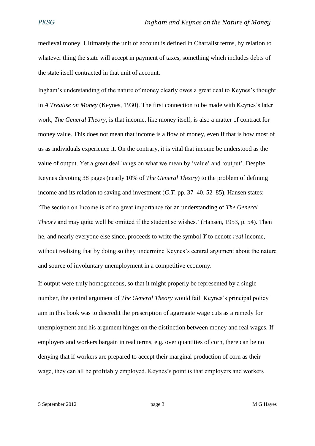medieval money. Ultimately the unit of account is defined in Chartalist terms, by relation to whatever thing the state will accept in payment of taxes, something which includes debts of the state itself contracted in that unit of account.

Ingham's understanding of the nature of money clearly owes a great deal to Keynes's thought in *A Treatise on Money* (Keynes, 1930). The first connection to be made with Keynes's later work, *The General Theory*, is that income, like money itself, is also a matter of contract for money value. This does not mean that income is a flow of money, even if that is how most of us as individuals experience it. On the contrary, it is vital that income be understood as the value of output. Yet a great deal hangs on what we mean by 'value' and 'output'. Despite Keynes devoting 38 pages (nearly 10% of *The General Theory*) to the problem of defining income and its relation to saving and investment (*G.T.* pp. 37–40, 52–85), Hansen states: 'The section on Income is of no great importance for an understanding of *The General Theory* and may quite well be omitted if the student so wishes.' (Hansen, 1953, p. 54). Then he, and nearly everyone else since, proceeds to write the symbol *Y* to denote *real* income, without realising that by doing so they undermine Keynes's central argument about the nature and source of involuntary unemployment in a competitive economy.

If output were truly homogeneous, so that it might properly be represented by a single number, the central argument of *The General Theory* would fail. Keynes's principal policy aim in this book was to discredit the prescription of aggregate wage cuts as a remedy for unemployment and his argument hinges on the distinction between money and real wages. If employers and workers bargain in real terms, e.g. over quantities of corn, there can be no denying that if workers are prepared to accept their marginal production of corn as their wage, they can all be profitably employed. Keynes's point is that employers and workers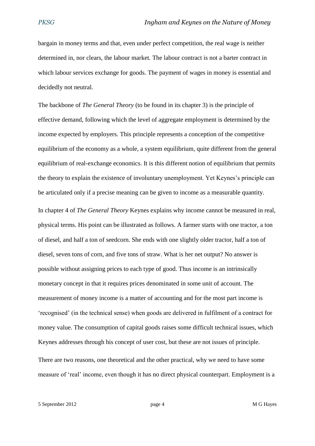bargain in money terms and that, even under perfect competition, the real wage is neither determined in, nor clears, the labour market. The labour contract is not a barter contract in which labour services exchange for goods. The payment of wages in money is essential and decidedly not neutral.

The backbone of *The General Theory* (to be found in its chapter 3) is the principle of effective demand, following which the level of aggregate employment is determined by the income expected by employers. This principle represents a conception of the competitive equilibrium of the economy as a whole, a system equilibrium, quite different from the general equilibrium of real-exchange economics. It is this different notion of equilibrium that permits the theory to explain the existence of involuntary unemployment. Yet Keynes's principle can be articulated only if a precise meaning can be given to income as a measurable quantity.

In chapter 4 of *The General Theory* Keynes explains why income cannot be measured in real, physical terms. His point can be illustrated as follows. A farmer starts with one tractor, a ton of diesel, and half a ton of seedcorn. She ends with one slightly older tractor, half a ton of diesel, seven tons of corn, and five tons of straw. What is her net output? No answer is possible without assigning prices to each type of good. Thus income is an intrinsically monetary concept in that it requires prices denominated in some unit of account. The measurement of money income is a matter of accounting and for the most part income is 'recognised' (in the technical sense) when goods are delivered in fulfilment of a contract for money value. The consumption of capital goods raises some difficult technical issues, which Keynes addresses through his concept of user cost, but these are not issues of principle. There are two reasons, one theoretical and the other practical, why we need to have some measure of 'real' income, even though it has no direct physical counterpart. Employment is a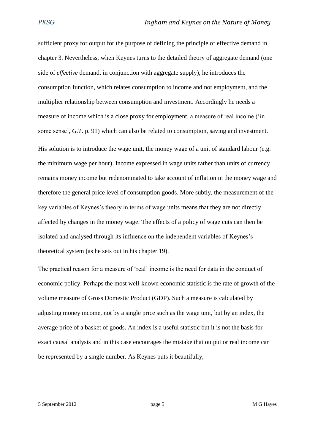sufficient proxy for output for the purpose of defining the principle of effective demand in chapter 3. Nevertheless, when Keynes turns to the detailed theory of aggregate demand (one side of *effective* demand, in conjunction with aggregate supply), he introduces the consumption function, which relates consumption to income and not employment, and the multiplier relationship between consumption and investment. Accordingly he needs a measure of income which is a close proxy for employment, a measure of real income ('in some sense', *G.T.* p. 91) which can also be related to consumption, saving and investment. His solution is to introduce the wage unit, the money wage of a unit of standard labour (e.g. the minimum wage per hour). Income expressed in wage units rather than units of currency remains money income but redenominated to take account of inflation in the money wage and therefore the general price level of consumption goods. More subtly, the measurement of the key variables of Keynes's theory in terms of wage units means that they are not directly affected by changes in the money wage. The effects of a policy of wage cuts can then be isolated and analysed through its influence on the independent variables of Keynes's theoretical system (as he sets out in his chapter 19).

The practical reason for a measure of 'real' income is the need for data in the conduct of economic policy. Perhaps the most well-known economic statistic is the rate of growth of the volume measure of Gross Domestic Product (GDP). Such a measure is calculated by adjusting money income, not by a single price such as the wage unit, but by an index, the average price of a basket of goods. An index is a useful statistic but it is not the basis for exact causal analysis and in this case encourages the mistake that output or real income can be represented by a single number. As Keynes puts it beautifully,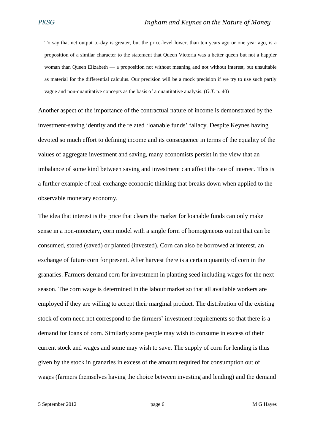To say that net output to-day is greater, but the price-level lower, than ten years ago or one year ago, is a proposition of a similar character to the statement that Queen Victoria was a better queen but not a happier woman than Queen Elizabeth — a proposition not without meaning and not without interest, but unsuitable as material for the differential calculus. Our precision will be a mock precision if we try to use such partly vague and non-quantitative concepts as the basis of a quantitative analysis. (*G.T.* p. 40)

Another aspect of the importance of the contractual nature of income is demonstrated by the investment-saving identity and the related 'loanable funds' fallacy. Despite Keynes having devoted so much effort to defining income and its consequence in terms of the equality of the values of aggregate investment and saving, many economists persist in the view that an imbalance of some kind between saving and investment can affect the rate of interest. This is a further example of real-exchange economic thinking that breaks down when applied to the observable monetary economy.

The idea that interest is the price that clears the market for loanable funds can only make sense in a non-monetary, corn model with a single form of homogeneous output that can be consumed, stored (saved) or planted (invested). Corn can also be borrowed at interest, an exchange of future corn for present. After harvest there is a certain quantity of corn in the granaries. Farmers demand corn for investment in planting seed including wages for the next season. The corn wage is determined in the labour market so that all available workers are employed if they are willing to accept their marginal product. The distribution of the existing stock of corn need not correspond to the farmers' investment requirements so that there is a demand for loans of corn. Similarly some people may wish to consume in excess of their current stock and wages and some may wish to save. The supply of corn for lending is thus given by the stock in granaries in excess of the amount required for consumption out of wages (farmers themselves having the choice between investing and lending) and the demand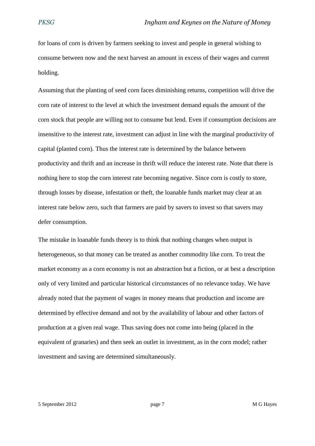for loans of corn is driven by farmers seeking to invest and people in general wishing to consume between now and the next harvest an amount in excess of their wages and current holding.

Assuming that the planting of seed corn faces diminishing returns, competition will drive the corn rate of interest to the level at which the investment demand equals the amount of the corn stock that people are willing not to consume but lend. Even if consumption decisions are insensitive to the interest rate, investment can adjust in line with the marginal productivity of capital (planted corn). Thus the interest rate is determined by the balance between productivity and thrift and an increase in thrift will reduce the interest rate. Note that there is nothing here to stop the corn interest rate becoming negative. Since corn is costly to store, through losses by disease, infestation or theft, the loanable funds market may clear at an interest rate below zero, such that farmers are paid by savers to invest so that savers may defer consumption.

The mistake in loanable funds theory is to think that nothing changes when output is heterogeneous, so that money can be treated as another commodity like corn. To treat the market economy as a corn economy is not an abstraction but a fiction, or at best a description only of very limited and particular historical circumstances of no relevance today. We have already noted that the payment of wages in money means that production and income are determined by effective demand and not by the availability of labour and other factors of production at a given real wage. Thus saving does not come into being (placed in the equivalent of granaries) and then seek an outlet in investment, as in the corn model; rather investment and saving are determined simultaneously.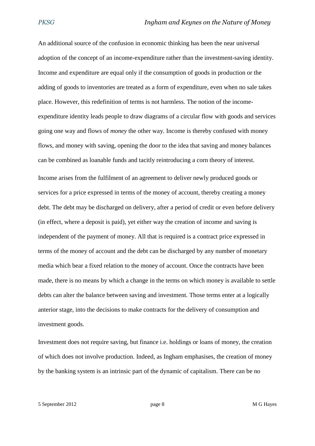An additional source of the confusion in economic thinking has been the near universal adoption of the concept of an income-expenditure rather than the investment-saving identity. Income and expenditure are equal only if the consumption of goods in production or the adding of goods to inventories are treated as a form of expenditure, even when no sale takes place. However, this redefinition of terms is not harmless. The notion of the incomeexpenditure identity leads people to draw diagrams of a circular flow with goods and services going one way and flows of *money* the other way. Income is thereby confused with money flows, and money with saving, opening the door to the idea that saving and money balances can be combined as loanable funds and tacitly reintroducing a corn theory of interest. Income arises from the fulfilment of an agreement to deliver newly produced goods or services for a price expressed in terms of the money of account, thereby creating a money debt. The debt may be discharged on delivery, after a period of credit or even before delivery (in effect, where a deposit is paid), yet either way the creation of income and saving is independent of the payment of money. All that is required is a contract price expressed in terms of the money of account and the debt can be discharged by any number of monetary media which bear a fixed relation to the money of account. Once the contracts have been made, there is no means by which a change in the terms on which money is available to settle debts can alter the balance between saving and investment. Those terms enter at a logically anterior stage, into the decisions to make contracts for the delivery of consumption and investment goods.

Investment does not require saving, but finance i.e. holdings or loans of money, the creation of which does not involve production. Indeed, as Ingham emphasises, the creation of money by the banking system is an intrinsic part of the dynamic of capitalism. There can be no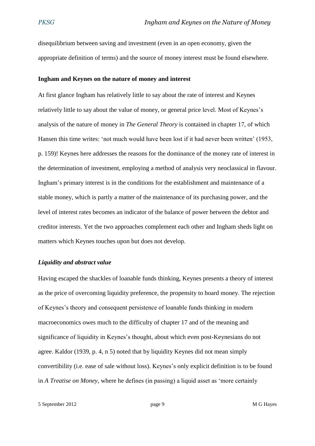disequilibrium between saving and investment (even in an open economy, given the appropriate definition of terms) and the source of money interest must be found elsewhere.

#### **Ingham and Keynes on the nature of money and interest**

At first glance Ingham has relatively little to say about the rate of interest and Keynes relatively little to say about the value of money, or general price level. Most of Keynes's analysis of the nature of money in *The General Theory* is contained in chapter 17, of which Hansen this time writes: 'not much would have been lost if it had never been written' (1953, p. 159)! Keynes here addresses the reasons for the dominance of the money rate of interest in the determination of investment, employing a method of analysis very neoclassical in flavour. Ingham's primary interest is in the conditions for the establishment and maintenance of a stable money, which is partly a matter of the maintenance of its purchasing power, and the level of interest rates becomes an indicator of the balance of power between the debtor and creditor interests. Yet the two approaches complement each other and Ingham sheds light on matters which Keynes touches upon but does not develop.

#### *Liquidity and abstract value*

Having escaped the shackles of loanable funds thinking, Keynes presents a theory of interest as the price of overcoming liquidity preference, the propensity to hoard money. The rejection of Keynes's theory and consequent persistence of loanable funds thinking in modern macroeconomics owes much to the difficulty of chapter 17 and of the meaning and significance of liquidity in Keynes's thought, about which even post-Keynesians do not agree. Kaldor (1939, p. 4, n 5) noted that by liquidity Keynes did not mean simply convertibility (i.e. ease of sale without loss). Keynes's only explicit definition is to be found in *A Treatise on Money*, where he defines (in passing) a liquid asset as 'more certainly

5 September 2012 page 9 M G Hayes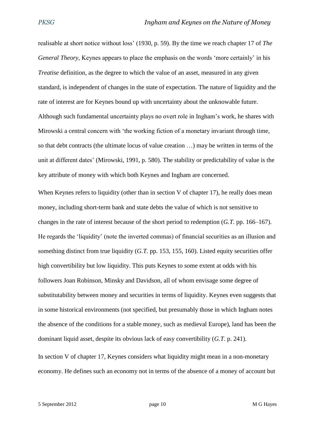realisable at short notice without loss' (1930, p. 59). By the time we reach chapter 17 of *The General Theory*, Keynes appears to place the emphasis on the words 'more certainly' in his *Treatise* definition, as the degree to which the value of an asset, measured in any given standard, is independent of changes in the state of expectation. The nature of liquidity and the rate of interest are for Keynes bound up with uncertainty about the unknowable future. Although such fundamental uncertainty plays no overt role in Ingham's work, he shares with Mirowski a central concern with 'the working fiction of a monetary invariant through time, so that debt contracts (the ultimate locus of value creation …) may be written in terms of the unit at different dates' (Mirowski, 1991, p. 580). The stability or predictability of value is the key attribute of money with which both Keynes and Ingham are concerned.

When Keynes refers to liquidity (other than in section V of chapter 17), he really does mean money, including short-term bank and state debts the value of which is not sensitive to changes in the rate of interest because of the short period to redemption (*G.T.* pp. 166–167). He regards the 'liquidity' (note the inverted commas) of financial securities as an illusion and something distinct from true liquidity (*G.T.* pp. 153, 155, 160). Listed equity securities offer high convertibility but low liquidity. This puts Keynes to some extent at odds with his followers Joan Robinson, Minsky and Davidson, all of whom envisage some degree of substitutability between money and securities in terms of liquidity. Keynes even suggests that in some historical environments (not specified, but presumably those in which Ingham notes the absence of the conditions for a stable money, such as medieval Europe), land has been the dominant liquid asset, despite its obvious lack of easy convertibility (*G.T.* p. 241).

In section V of chapter 17, Keynes considers what liquidity might mean in a non-monetary economy. He defines such an economy not in terms of the absence of a money of account but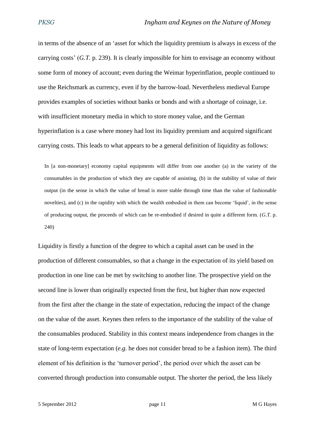in terms of the absence of an 'asset for which the liquidity premium is always in excess of the carrying costs' (*G.T.* p. 239). It is clearly impossible for him to envisage an economy without some form of money of account; even during the Weimar hyperinflation, people continued to use the Reichsmark as currency, even if by the barrow-load. Nevertheless medieval Europe provides examples of societies without banks or bonds and with a shortage of coinage, i.e. with insufficient monetary media in which to store money value, and the German hyperinflation is a case where money had lost its liquidity premium and acquired significant carrying costs. This leads to what appears to be a general definition of liquidity as follows:

In [a non-monetary] economy capital equipments will differ from one another (a) in the variety of the consumables in the production of which they are capable of assisting, (b) in the stability of value of their output (in the sense in which the value of bread is more stable through time than the value of fashionable novelties), and (c) in the rapidity with which the wealth embodied in them can become 'liquid', in the sense of producing output, the proceeds of which can be re-embodied if desired in quite a different form. (*G.T.* p. 240)

Liquidity is firstly a function of the degree to which a capital asset can be used in the production of different consumables, so that a change in the expectation of its yield based on production in one line can be met by switching to another line. The prospective yield on the second line is lower than originally expected from the first, but higher than now expected from the first after the change in the state of expectation, reducing the impact of the change on the value of the asset. Keynes then refers to the importance of the stability of the value of the consumables produced. Stability in this context means independence from changes in the state of long-term expectation (*e.g.* he does not consider bread to be a fashion item). The third element of his definition is the 'turnover period', the period over which the asset can be converted through production into consumable output. The shorter the period, the less likely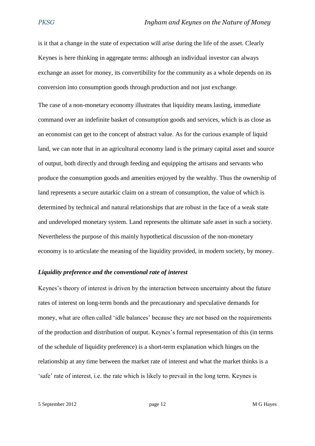is it that a change in the state of expectation will arise during the life of the asset. Clearly Keynes is here thinking in aggregate terms: although an individual investor can always exchange an asset for money, its convertibility for the community as a whole depends on its conversion into consumption goods through production and not just exchange.

The case of a non-monetary economy illustrates that liquidity means lasting, immediate command over an indefinite basket of consumption goods and services, which is as close as an economist can get to the concept of abstract value. As for the curious example of liquid land, we can note that in an agricultural economy land is the primary capital asset and source of output, both directly and through feeding and equipping the artisans and servants who produce the consumption goods and amenities enjoyed by the wealthy. Thus the ownership of land represents a secure autarkic claim on a stream of consumption, the value of which is determined by technical and natural relationships that are robust in the face of a weak state and undeveloped monetary system. Land represents the ultimate safe asset in such a society. Nevertheless the purpose of this mainly hypothetical discussion of the non-monetary economy is to articulate the meaning of the liquidity provided, in modern society, by money.

#### *Liquidity preference and the conventional rate of interest*

Keynes's theory of interest is driven by the interaction between uncertainty about the future rates of interest on long-term bonds and the precautionary and speculative demands for money, what are often called 'idle balances' because they are not based on the requirements of the production and distribution of output. Keynes's formal representation of this (in terms of the schedule of liquidity preference) is a short-term explanation which hinges on the relationship at any time between the market rate of interest and what the market thinks is a 'safe' rate of interest, i.e. the rate which is likely to prevail in the long term. Keynes is

5 September 2012 page 12 M G Hayes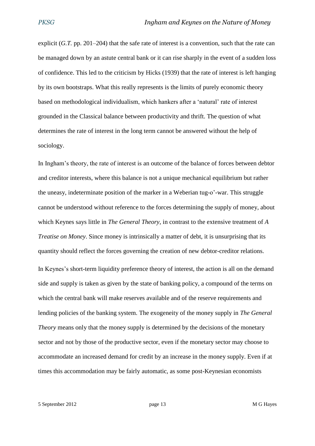explicit (*G.T.* pp. 201–204) that the safe rate of interest is a convention, such that the rate can be managed down by an astute central bank or it can rise sharply in the event of a sudden loss of confidence. This led to the criticism by Hicks (1939) that the rate of interest is left hanging by its own bootstraps. What this really represents is the limits of purely economic theory based on methodological individualism, which hankers after a 'natural' rate of interest grounded in the Classical balance between productivity and thrift. The question of what determines the rate of interest in the long term cannot be answered without the help of sociology.

In Ingham's theory, the rate of interest is an outcome of the balance of forces between debtor and creditor interests, where this balance is not a unique mechanical equilibrium but rather the uneasy, indeterminate position of the marker in a Weberian tug-o'-war. This struggle cannot be understood without reference to the forces determining the supply of money, about which Keynes says little in *The General Theory*, in contrast to the extensive treatment of *A Treatise on Money*. Since money is intrinsically a matter of debt, it is unsurprising that its quantity should reflect the forces governing the creation of new debtor-creditor relations. In Keynes's short-term liquidity preference theory of interest, the action is all on the demand side and supply is taken as given by the state of banking policy, a compound of the terms on which the central bank will make reserves available and of the reserve requirements and lending policies of the banking system. The exogeneity of the money supply in *The General Theory* means only that the money supply is determined by the decisions of the monetary sector and not by those of the productive sector, even if the monetary sector may choose to accommodate an increased demand for credit by an increase in the money supply. Even if at times this accommodation may be fairly automatic, as some post-Keynesian economists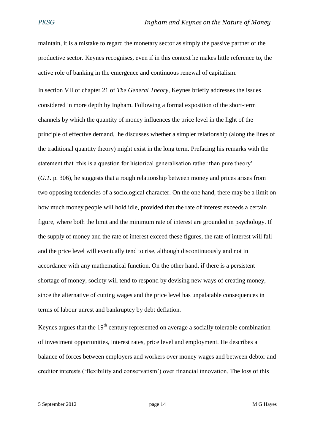maintain, it is a mistake to regard the monetary sector as simply the passive partner of the productive sector. Keynes recognises, even if in this context he makes little reference to, the active role of banking in the emergence and continuous renewal of capitalism.

In section VII of chapter 21 of *The General Theory*, Keynes briefly addresses the issues considered in more depth by Ingham. Following a formal exposition of the short-term channels by which the quantity of money influences the price level in the light of the principle of effective demand, he discusses whether a simpler relationship (along the lines of the traditional quantity theory) might exist in the long term. Prefacing his remarks with the statement that 'this is a question for historical generalisation rather than pure theory' (*G.T.* p. 306), he suggests that a rough relationship between money and prices arises from two opposing tendencies of a sociological character. On the one hand, there may be a limit on how much money people will hold idle, provided that the rate of interest exceeds a certain figure, where both the limit and the minimum rate of interest are grounded in psychology. If the supply of money and the rate of interest exceed these figures, the rate of interest will fall and the price level will eventually tend to rise, although discontinuously and not in accordance with any mathematical function. On the other hand, if there is a persistent shortage of money, society will tend to respond by devising new ways of creating money, since the alternative of cutting wages and the price level has unpalatable consequences in terms of labour unrest and bankruptcy by debt deflation.

Keynes argues that the  $19<sup>th</sup>$  century represented on average a socially tolerable combination of investment opportunities, interest rates, price level and employment. He describes a balance of forces between employers and workers over money wages and between debtor and creditor interests ('flexibility and conservatism') over financial innovation. The loss of this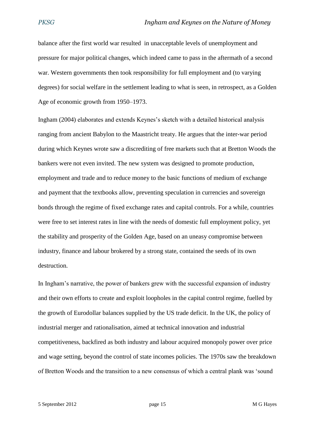balance after the first world war resulted in unacceptable levels of unemployment and pressure for major political changes, which indeed came to pass in the aftermath of a second war. Western governments then took responsibility for full employment and (to varying degrees) for social welfare in the settlement leading to what is seen, in retrospect, as a Golden Age of economic growth from 1950–1973.

Ingham (2004) elaborates and extends Keynes's sketch with a detailed historical analysis ranging from ancient Babylon to the Maastricht treaty. He argues that the inter-war period during which Keynes wrote saw a discrediting of free markets such that at Bretton Woods the bankers were not even invited. The new system was designed to promote production, employment and trade and to reduce money to the basic functions of medium of exchange and payment that the textbooks allow, preventing speculation in currencies and sovereign bonds through the regime of fixed exchange rates and capital controls. For a while, countries were free to set interest rates in line with the needs of domestic full employment policy, yet the stability and prosperity of the Golden Age, based on an uneasy compromise between industry, finance and labour brokered by a strong state, contained the seeds of its own destruction.

In Ingham's narrative, the power of bankers grew with the successful expansion of industry and their own efforts to create and exploit loopholes in the capital control regime, fuelled by the growth of Eurodollar balances supplied by the US trade deficit. In the UK, the policy of industrial merger and rationalisation, aimed at technical innovation and industrial competitiveness, backfired as both industry and labour acquired monopoly power over price and wage setting, beyond the control of state incomes policies. The 1970s saw the breakdown of Bretton Woods and the transition to a new consensus of which a central plank was 'sound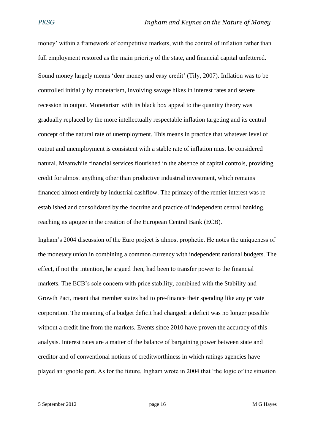money' within a framework of competitive markets, with the control of inflation rather than full employment restored as the main priority of the state, and financial capital unfettered. Sound money largely means 'dear money and easy credit' (Tily, 2007). Inflation was to be controlled initially by monetarism, involving savage hikes in interest rates and severe recession in output. Monetarism with its black box appeal to the quantity theory was gradually replaced by the more intellectually respectable inflation targeting and its central concept of the natural rate of unemployment. This means in practice that whatever level of output and unemployment is consistent with a stable rate of inflation must be considered natural. Meanwhile financial services flourished in the absence of capital controls, providing credit for almost anything other than productive industrial investment, which remains financed almost entirely by industrial cashflow. The primacy of the rentier interest was reestablished and consolidated by the doctrine and practice of independent central banking, reaching its apogee in the creation of the European Central Bank (ECB).

Ingham's 2004 discussion of the Euro project is almost prophetic. He notes the uniqueness of the monetary union in combining a common currency with independent national budgets. The effect, if not the intention, he argued then, had been to transfer power to the financial markets. The ECB's sole concern with price stability, combined with the Stability and Growth Pact, meant that member states had to pre-finance their spending like any private corporation. The meaning of a budget deficit had changed: a deficit was no longer possible without a credit line from the markets. Events since 2010 have proven the accuracy of this analysis. Interest rates are a matter of the balance of bargaining power between state and creditor and of conventional notions of creditworthiness in which ratings agencies have played an ignoble part. As for the future, Ingham wrote in 2004 that 'the logic of the situation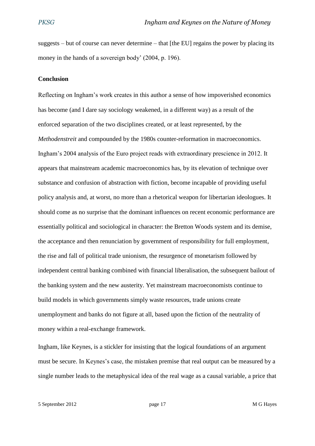suggests – but of course can never determine – that [the EU] regains the power by placing its money in the hands of a sovereign body' (2004, p. 196).

### **Conclusion**

Reflecting on Ingham's work creates in this author a sense of how impoverished economics has become (and I dare say sociology weakened, in a different way) as a result of the enforced separation of the two disciplines created, or at least represented, by the *Methodenstreit* and compounded by the 1980s counter-reformation in macroeconomics. Ingham's 2004 analysis of the Euro project reads with extraordinary prescience in 2012. It appears that mainstream academic macroeconomics has, by its elevation of technique over substance and confusion of abstraction with fiction, become incapable of providing useful policy analysis and, at worst, no more than a rhetorical weapon for libertarian ideologues. It should come as no surprise that the dominant influences on recent economic performance are essentially political and sociological in character: the Bretton Woods system and its demise, the acceptance and then renunciation by government of responsibility for full employment, the rise and fall of political trade unionism, the resurgence of monetarism followed by independent central banking combined with financial liberalisation, the subsequent bailout of the banking system and the new austerity. Yet mainstream macroeconomists continue to build models in which governments simply waste resources, trade unions create unemployment and banks do not figure at all, based upon the fiction of the neutrality of money within a real-exchange framework.

Ingham, like Keynes, is a stickler for insisting that the logical foundations of an argument must be secure. In Keynes's case, the mistaken premise that real output can be measured by a single number leads to the metaphysical idea of the real wage as a causal variable, a price that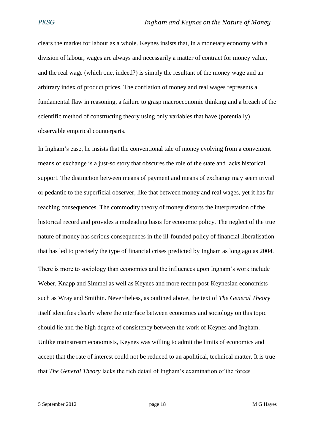clears the market for labour as a whole. Keynes insists that, in a monetary economy with a division of labour, wages are always and necessarily a matter of contract for money value, and the real wage (which one, indeed?) is simply the resultant of the money wage and an arbitrary index of product prices. The conflation of money and real wages represents a fundamental flaw in reasoning, a failure to grasp macroeconomic thinking and a breach of the scientific method of constructing theory using only variables that have (potentially) observable empirical counterparts.

In Ingham's case, he insists that the conventional tale of money evolving from a convenient means of exchange is a just-so story that obscures the role of the state and lacks historical support. The distinction between means of payment and means of exchange may seem trivial or pedantic to the superficial observer, like that between money and real wages, yet it has farreaching consequences. The commodity theory of money distorts the interpretation of the historical record and provides a misleading basis for economic policy. The neglect of the true nature of money has serious consequences in the ill-founded policy of financial liberalisation that has led to precisely the type of financial crises predicted by Ingham as long ago as 2004. There is more to sociology than economics and the influences upon Ingham's work include Weber, Knapp and Simmel as well as Keynes and more recent post-Keynesian economists such as Wray and Smithin. Nevertheless, as outlined above, the text of *The General Theory* itself identifies clearly where the interface between economics and sociology on this topic should lie and the high degree of consistency between the work of Keynes and Ingham. Unlike mainstream economists, Keynes was willing to admit the limits of economics and accept that the rate of interest could not be reduced to an apolitical, technical matter. It is true that *The General Theory* lacks the rich detail of Ingham's examination of the forces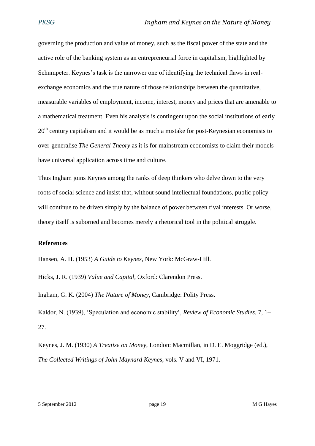governing the production and value of money, such as the fiscal power of the state and the active role of the banking system as an entrepreneurial force in capitalism, highlighted by Schumpeter. Keynes's task is the narrower one of identifying the technical flaws in realexchange economics and the true nature of those relationships between the quantitative, measurable variables of employment, income, interest, money and prices that are amenable to a mathematical treatment. Even his analysis is contingent upon the social institutions of early 20<sup>th</sup> century capitalism and it would be as much a mistake for post-Keynesian economists to over-generalise *The General Theory* as it is for mainstream economists to claim their models have universal application across time and culture.

Thus Ingham joins Keynes among the ranks of deep thinkers who delve down to the very roots of social science and insist that, without sound intellectual foundations, public policy will continue to be driven simply by the balance of power between rival interests. Or worse, theory itself is suborned and becomes merely a rhetorical tool in the political struggle.

## **References**

Hansen, A. H. (1953) *A Guide to Keynes*, New York: McGraw-Hill.

Hicks, J. R. (1939) *Value and Capital*, Oxford: Clarendon Press.

Ingham, G. K. (2004) *The Nature of Money*, Cambridge: Polity Press.

Kaldor, N. (1939), 'Speculation and economic stability', *Review of Economic Studies*, 7, 1– 27.

Keynes, J. M. (1930) *A Treatise on Money*, London: Macmillan, in D. E. Moggridge (ed.), *The Collected Writings of John Maynard Keynes*, vols. V and VI, 1971.